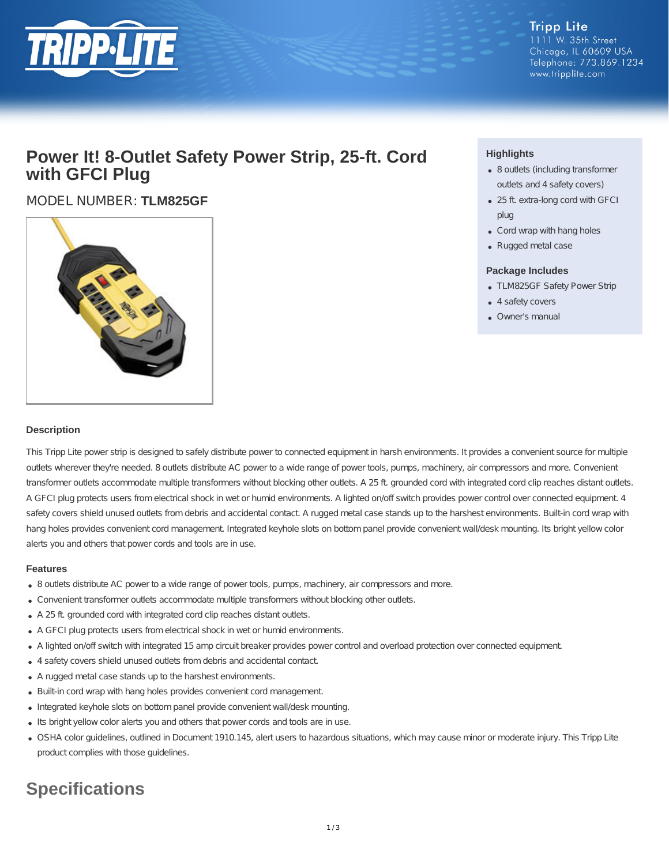

## **Power It! 8-Outlet Safety Power Strip, 25-ft. Cord with GFCI Plug**

MODEL NUMBER: **TLM825GF**



### **Highlights**

- 8 outlets (including transformer outlets and 4 safety covers)
- 25 ft. extra-long cord with GFCI plug
- Cord wrap with hang holes
- Rugged metal case

#### **Package Includes**

- TLM825GF Safety Power Strip
- 4 safety covers
- Owner's manual

#### **Description**

This Tripp Lite power strip is designed to safely distribute power to connected equipment in harsh environments. It provides a convenient source for multiple outlets wherever they're needed. 8 outlets distribute AC power to a wide range of power tools, pumps, machinery, air compressors and more. Convenient transformer outlets accommodate multiple transformers without blocking other outlets. A 25 ft. grounded cord with integrated cord clip reaches distant outlets. A GFCI plug protects users from electrical shock in wet or humid environments. A lighted on/off switch provides power control over connected equipment. 4 safety covers shield unused outlets from debris and accidental contact. A rugged metal case stands up to the harshest environments. Built-in cord wrap with hang holes provides convenient cord management. Integrated keyhole slots on bottom panel provide convenient wall/desk mounting. Its bright yellow color alerts you and others that power cords and tools are in use.

#### **Features**

- 8 outlets distribute AC power to a wide range of power tools, pumps, machinery, air compressors and more.
- Convenient transformer outlets accommodate multiple transformers without blocking other outlets.
- A 25 ft. grounded cord with integrated cord clip reaches distant outlets.
- A GFCI plug protects users from electrical shock in wet or humid environments.
- A lighted on/off switch with integrated 15 amp circuit breaker provides power control and overload protection over connected equipment.
- 4 safety covers shield unused outlets from debris and accidental contact.
- A rugged metal case stands up to the harshest environments.
- Built-in cord wrap with hang holes provides convenient cord management.
- Integrated keyhole slots on bottom panel provide convenient wall/desk mounting.
- . Its bright yellow color alerts you and others that power cords and tools are in use.
- OSHA color guidelines, outlined in Document 1910.145, alert users to hazardous situations, which may cause minor or moderate injury. This Tripp Lite product complies with those guidelines.

# **Specifications**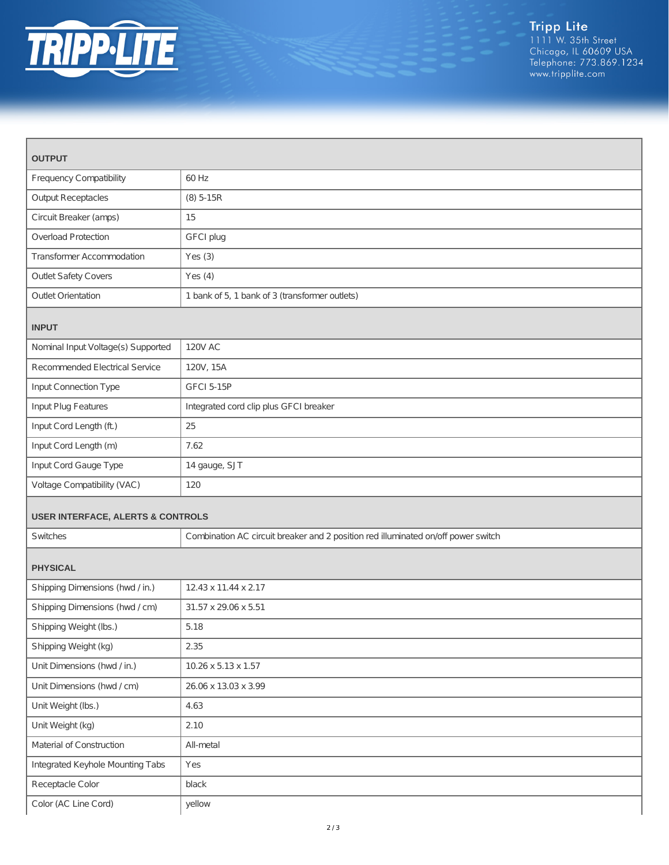

| <b>OUTPUT</b>                                |                                                                                   |  |
|----------------------------------------------|-----------------------------------------------------------------------------------|--|
| <b>Frequency Compatibility</b>               | 60 Hz                                                                             |  |
| <b>Output Receptacles</b>                    | $(8)$ 5-15R                                                                       |  |
| Circuit Breaker (amps)                       | 15                                                                                |  |
| <b>Overload Protection</b>                   | GFCI plug                                                                         |  |
| <b>Transformer Accommodation</b>             | Yes $(3)$                                                                         |  |
| <b>Outlet Safety Covers</b>                  | Yes $(4)$                                                                         |  |
| <b>Outlet Orientation</b>                    | 1 bank of 5, 1 bank of 3 (transformer outlets)                                    |  |
| <b>INPUT</b>                                 |                                                                                   |  |
| Nominal Input Voltage(s) Supported           | <b>120V AC</b>                                                                    |  |
| Recommended Electrical Service               | 120V, 15A                                                                         |  |
| Input Connection Type                        | <b>GFCI 5-15P</b>                                                                 |  |
| Input Plug Features                          | Integrated cord clip plus GFCI breaker                                            |  |
| Input Cord Length (ft.)                      | 25                                                                                |  |
| Input Cord Length (m)                        | 7.62                                                                              |  |
| Input Cord Gauge Type                        | 14 gauge, SJT                                                                     |  |
| Voltage Compatibility (VAC)                  | 120                                                                               |  |
| <b>USER INTERFACE, ALERTS &amp; CONTROLS</b> |                                                                                   |  |
| Switches                                     | Combination AC circuit breaker and 2 position red illuminated on/off power switch |  |
| <b>PHYSICAL</b>                              |                                                                                   |  |
| Shipping Dimensions (hwd / in.)              | 12.43 x 11.44 x 2.17                                                              |  |
| Shipping Dimensions (hwd / cm)               | 31.57 x 29.06 x 5.51                                                              |  |
| Shipping Weight (lbs.)                       | 5.18                                                                              |  |
| Shipping Weight (kg)                         | 2.35                                                                              |  |
| Unit Dimensions (hwd / in.)                  | 10.26 x 5.13 x 1.57                                                               |  |
| Unit Dimensions (hwd / cm)                   | 26.06 x 13.03 x 3.99                                                              |  |
| Unit Weight (lbs.)                           | 4.63                                                                              |  |
| Unit Weight (kg)                             | 2.10                                                                              |  |
| Material of Construction                     | All-metal                                                                         |  |
| Integrated Keyhole Mounting Tabs             | Yes                                                                               |  |
| Receptacle Color                             | black                                                                             |  |
| Color (AC Line Cord)                         | yellow                                                                            |  |